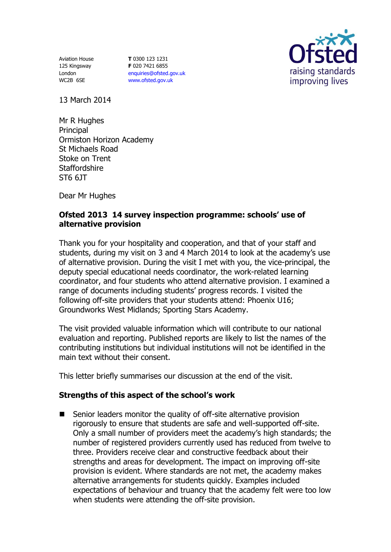Aviation House 125 Kingsway London WC2B 6SE

**T** 0300 123 1231 **F** 020 7421 6855 [enquiries@ofsted.gov.uk](mailto:enquiries@ofsted.gov.uk) [www.ofsted.gov.uk](http://www.ofsted.gov.uk/)



13 March 2014

Mr R Hughes **Principal** Ormiston Horizon Academy St Michaels Road Stoke on Trent **Staffordshire** ST6 6JT

Dear Mr Hughes

## **Ofsted 2013 14 survey inspection programme: schools' use of alternative provision**

Thank you for your hospitality and cooperation, and that of your staff and students, during my visit on 3 and 4 March 2014 to look at the academy's use of alternative provision. During the visit I met with you, the vice-principal, the deputy special educational needs coordinator, the work-related learning coordinator, and four students who attend alternative provision. I examined a range of documents including students' progress records. I visited the following off-site providers that your students attend: Phoenix U16; Groundworks West Midlands; Sporting Stars Academy.

The visit provided valuable information which will contribute to our national evaluation and reporting. Published reports are likely to list the names of the contributing institutions but individual institutions will not be identified in the main text without their consent.

This letter briefly summarises our discussion at the end of the visit.

## **Strengths of this aspect of the school's work**

■ Senior leaders monitor the quality of off-site alternative provision rigorously to ensure that students are safe and well-supported off-site. Only a small number of providers meet the academy's high standards; the number of registered providers currently used has reduced from twelve to three. Providers receive clear and constructive feedback about their strengths and areas for development. The impact on improving off-site provision is evident. Where standards are not met, the academy makes alternative arrangements for students quickly. Examples included expectations of behaviour and truancy that the academy felt were too low when students were attending the off-site provision.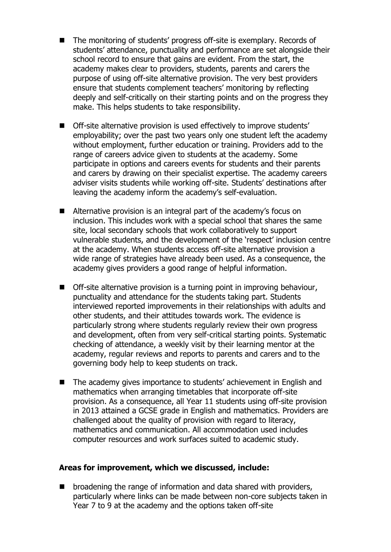- The monitoring of students' progress off-site is exemplary. Records of students' attendance, punctuality and performance are set alongside their school record to ensure that gains are evident. From the start, the academy makes clear to providers, students, parents and carers the purpose of using off-site alternative provision. The very best providers ensure that students complement teachers' monitoring by reflecting deeply and self-critically on their starting points and on the progress they make. This helps students to take responsibility.
- Off-site alternative provision is used effectively to improve students' employability; over the past two years only one student left the academy without employment, further education or training. Providers add to the range of careers advice given to students at the academy. Some participate in options and careers events for students and their parents and carers by drawing on their specialist expertise. The academy careers adviser visits students while working off-site. Students' destinations after leaving the academy inform the academy's self-evaluation.
- Alternative provision is an integral part of the academy's focus on inclusion. This includes work with a special school that shares the same site, local secondary schools that work collaboratively to support vulnerable students, and the development of the 'respect' inclusion centre at the academy. When students access off-site alternative provision a wide range of strategies have already been used. As a consequence, the academy gives providers a good range of helpful information.
- Off-site alternative provision is a turning point in improving behaviour, punctuality and attendance for the students taking part. Students interviewed reported improvements in their relationships with adults and other students, and their attitudes towards work. The evidence is particularly strong where students regularly review their own progress and development, often from very self-critical starting points. Systematic checking of attendance, a weekly visit by their learning mentor at the academy, regular reviews and reports to parents and carers and to the governing body help to keep students on track.
- The academy gives importance to students' achievement in English and mathematics when arranging timetables that incorporate off-site provision. As a consequence, all Year 11 students using off-site provision in 2013 attained a GCSE grade in English and mathematics. Providers are challenged about the quality of provision with regard to literacy, mathematics and communication. All accommodation used includes computer resources and work surfaces suited to academic study.

## **Areas for improvement, which we discussed, include:**

**E** broadening the range of information and data shared with providers, particularly where links can be made between non-core subjects taken in Year 7 to 9 at the academy and the options taken off-site